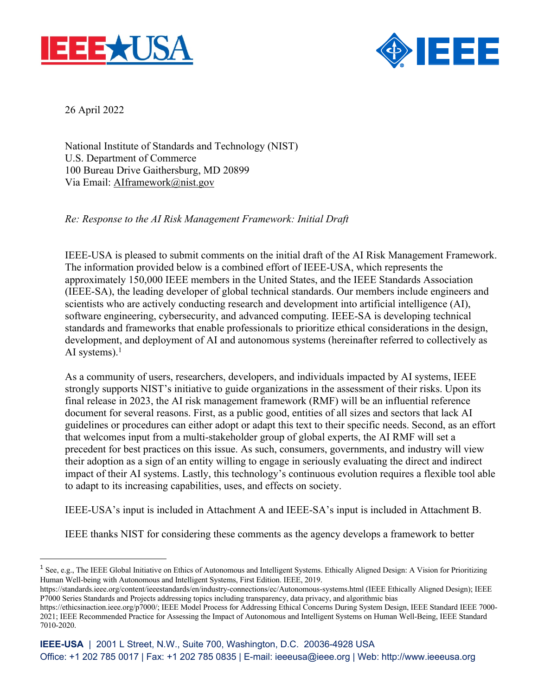



26 April 2022

National Institute of Standards and Technology (NIST) U.S. Department of Commerce 100 Bureau Drive Gaithersburg, MD 20899 Via Email: AIframework@nist.gov

*Re: Response to the AI Risk Management Framework: Initial Draft*

IEEE-USA is pleased to submit comments on the initial draft of the AI Risk Management Framework. The information provided below is a combined effort of IEEE-USA, which represents the approximately 150,000 IEEE members in the United States, and the IEEE Standards Association (IEEE-SA), the leading developer of global technical standards. Our members include engineers and scientists who are actively conducting research and development into artificial intelligence (AI), software engineering, cybersecurity, and advanced computing. IEEE-SA is developing technical standards and frameworks that enable professionals to prioritize ethical considerations in the design, development, and deployment of AI and autonomous systems (hereinafter referred to collectively as AI systems). $<sup>1</sup>$ </sup>

As a community of users, researchers, developers, and individuals impacted by AI systems, IEEE strongly supports NIST's initiative to guide organizations in the assessment of their risks. Upon its final release in 2023, the AI risk management framework (RMF) will be an influential reference document for several reasons. First, as a public good, entities of all sizes and sectors that lack AI guidelines or procedures can either adopt or adapt this text to their specific needs. Second, as an effort that welcomes input from a multi-stakeholder group of global experts, the AI RMF will set a precedent for best practices on this issue. As such, consumers, governments, and industry will view their adoption as a sign of an entity willing to engage in seriously evaluating the direct and indirect impact of their AI systems. Lastly, this technology's continuous evolution requires a flexible tool able to adapt to its increasing capabilities, uses, and effects on society.

IEEE-USA's input is included in Attachment A and IEEE-SA's input is included in Attachment B.

IEEE thanks NIST for considering these comments as the agency develops a framework to better

<sup>&</sup>lt;sup>1</sup> See, e.g., The IEEE Global Initiative on Ethics of Autonomous and Intelligent Systems. Ethically Aligned Design: A Vision for Prioritizing Human Well-being with Autonomous and Intelligent Systems, First Edition. IEEE, 2019.

https://standards.ieee.org/content/ieeestandards/en/industry-connections/ec/Autonomous-systems.html (IEEE Ethically Aligned Design); IEEE P7000 Series Standards and Projects addressing topics including transparency, data privacy, and algorithmic bias

https://ethicsinaction.ieee.org/p7000/; IEEE Model Process for Addressing Ethical Concerns During System Design, IEEE Standard IEEE 7000- 2021; IEEE Recommended Practice for Assessing the Impact of Autonomous and Intelligent Systems on Human Well-Being, IEEE Standard 7010-2020.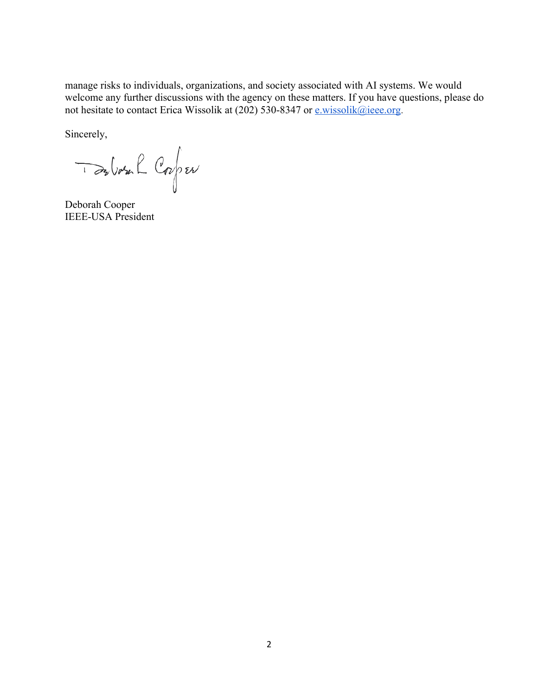manage risks to individuals, organizations, and society associated with AI systems. We would welcome any further discussions with the agency on these matters. If you have questions, please do not hesitate to contact Erica Wissolik at (202) 530-8347 or e.wissolik@ieee.org.

Sincerely,

De Voul Corper

Deborah Cooper IEEE-USA President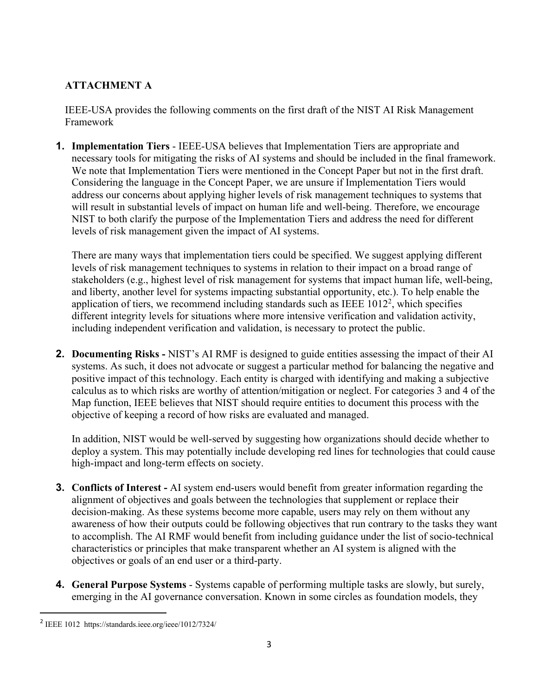# **ATTACHMENT A**

IEEE-USA provides the following comments on the first draft of the NIST AI Risk Management Framework

**1. Implementation Tiers** - IEEE-USA believes that Implementation Tiers are appropriate and necessary tools for mitigating the risks of AI systems and should be included in the final framework. We note that Implementation Tiers were mentioned in the Concept Paper but not in the first draft. Considering the language in the Concept Paper, we are unsure if Implementation Tiers would address our concerns about applying higher levels of risk management techniques to systems that will result in substantial levels of impact on human life and well-being. Therefore, we encourage NIST to both clarify the purpose of the Implementation Tiers and address the need for different levels of risk management given the impact of AI systems.

There are many ways that implementation tiers could be specified. We suggest applying different levels of risk management techniques to systems in relation to their impact on a broad range of stakeholders (e.g., highest level of risk management for systems that impact human life, well-being, and liberty, another level for systems impacting substantial opportunity, etc.). To help enable the application of tiers, we recommend including standards such as IEEE  $1012<sup>2</sup>$ , which specifies different integrity levels for situations where more intensive verification and validation activity, including independent verification and validation, is necessary to protect the public.

**2. Documenting Risks -** NIST's AI RMF is designed to guide entities assessing the impact of their AI systems. As such, it does not advocate or suggest a particular method for balancing the negative and positive impact of this technology. Each entity is charged with identifying and making a subjective calculus as to which risks are worthy of attention/mitigation or neglect. For categories 3 and 4 of the Map function, IEEE believes that NIST should require entities to document this process with the objective of keeping a record of how risks are evaluated and managed.

In addition, NIST would be well-served by suggesting how organizations should decide whether to deploy a system. This may potentially include developing red lines for technologies that could cause high-impact and long-term effects on society.

- **3. Conflicts of Interest -** AI system end-users would benefit from greater information regarding the alignment of objectives and goals between the technologies that supplement or replace their decision-making. As these systems become more capable, users may rely on them without any awareness of how their outputs could be following objectives that run contrary to the tasks they want to accomplish. The AI RMF would benefit from including guidance under the list of socio-technical characteristics or principles that make transparent whether an AI system is aligned with the objectives or goals of an end user or a third-party.
- **4. General Purpose Systems** Systems capable of performing multiple tasks are slowly, but surely, emerging in the AI governance conversation. Known in some circles as foundation models, they

<sup>2</sup> IEEE 1012 https://standards.ieee.org/ieee/1012/7324/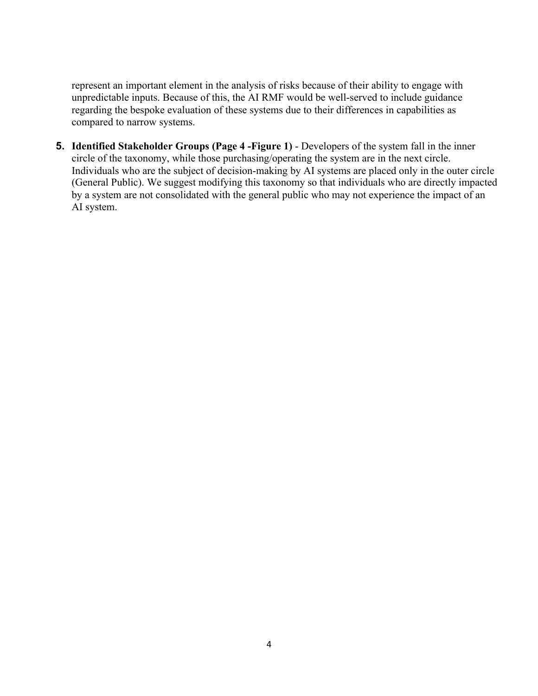represent an important element in the analysis of risks because of their ability to engage with unpredictable inputs. Because of this, the AI RMF would be well-served to include guidance regarding the bespoke evaluation of these systems due to their differences in capabilities as compared to narrow systems.

**5. Identified Stakeholder Groups (Page 4 -Figure 1)** - Developers of the system fall in the inner circle of the taxonomy, while those purchasing/operating the system are in the next circle. Individuals who are the subject of decision-making by AI systems are placed only in the outer circle (General Public). We suggest modifying this taxonomy so that individuals who are directly impacted by a system are not consolidated with the general public who may not experience the impact of an AI system.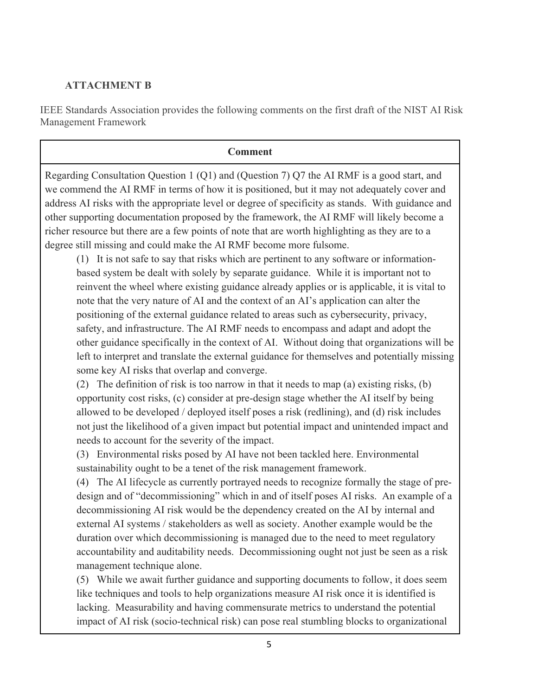### **ATTACHMENT B**

IEEE Standards Association provides the following comments on the first draft of the NIST AI Risk Management Framework

#### **Comment**

Regarding Consultation Question 1 (Q1) and (Question 7) Q7 the AI RMF is a good start, and we commend the AI RMF in terms of how it is positioned, but it may not adequately cover and address AI risks with the appropriate level or degree of specificity as stands. With guidance and other supporting documentation proposed by the framework, the AI RMF will likely become a richer resource but there are a few points of note that are worth highlighting as they are to a degree still missing and could make the AI RMF become more fulsome.

(1) It is not safe to say that risks which are pertinent to any software or informationbased system be dealt with solely by separate guidance. While it is important not to reinvent the wheel where existing guidance already applies or is applicable, it is vital to note that the very nature of AI and the context of an AI's application can alter the positioning of the external guidance related to areas such as cybersecurity, privacy, safety, and infrastructure. The AI RMF needs to encompass and adapt and adopt the other guidance specifically in the context of AI. Without doing that organizations will be left to interpret and translate the external guidance for themselves and potentially missing some key AI risks that overlap and converge.

(2) The definition of risk is too narrow in that it needs to map (a) existing risks, (b) opportunity cost risks, (c) consider at pre-design stage whether the AI itself by being allowed to be developed / deployed itself poses a risk (redlining), and (d) risk includes not just the likelihood of a given impact but potential impact and unintended impact and needs to account for the severity of the impact.

(3) Environmental risks posed by AI have not been tackled here. Environmental sustainability ought to be a tenet of the risk management framework.

(4) The AI lifecycle as currently portrayed needs to recognize formally the stage of predesign and of "decommissioning" which in and of itself poses AI risks. An example of a decommissioning AI risk would be the dependency created on the AI by internal and external AI systems / stakeholders as well as society. Another example would be the duration over which decommissioning is managed due to the need to meet regulatory accountability and auditability needs. Decommissioning ought not just be seen as a risk management technique alone.

(5) While we await further guidance and supporting documents to follow, it does seem like techniques and tools to help organizations measure AI risk once it is identified is lacking. Measurability and having commensurate metrics to understand the potential impact of AI risk (socio-technical risk) can pose real stumbling blocks to organizational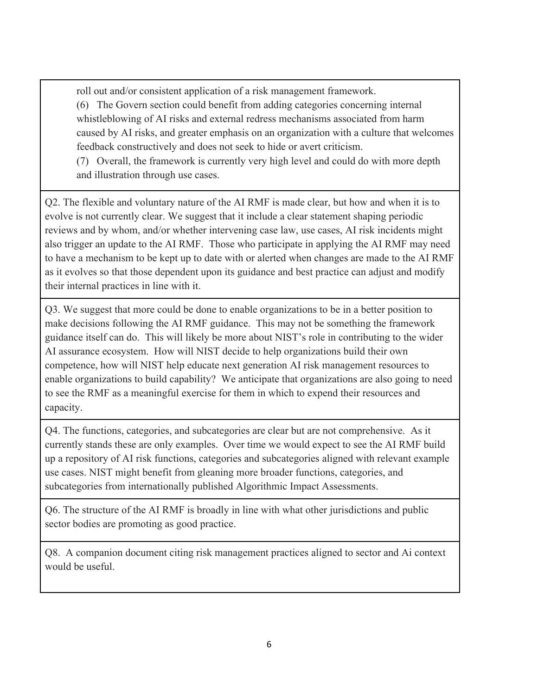roll out and/or consistent application of a risk management framework.

(6) The Govern section could benefit from adding categories concerning internal whistleblowing of AI risks and external redress mechanisms associated from harm caused by AI risks, and greater emphasis on an organization with a culture that welcomes feedback constructively and does not seek to hide or avert criticism.

(7) Overall, the framework is currently very high level and could do with more depth and illustration through use cases.

Q2. The flexible and voluntary nature of the AI RMF is made clear, but how and when it is to evolve is not currently clear. We suggest that it include a clear statement shaping periodic reviews and by whom, and/or whether intervening case law, use cases, AI risk incidents might also trigger an update to the AI RMF. Those who participate in applying the AI RMF may need to have a mechanism to be kept up to date with or alerted when changes are made to the AI RMF as it evolves so that those dependent upon its guidance and best practice can adjust and modify their internal practices in line with it.

Q3. We suggest that more could be done to enable organizations to be in a better position to make decisions following the AI RMF guidance. This may not be something the framework guidance itself can do. This will likely be more about NIST's role in contributing to the wider AI assurance ecosystem. How will NIST decide to help organizations build their own competence, how will NIST help educate next generation AI risk management resources to enable organizations to build capability? We anticipate that organizations are also going to need to see the RMF as a meaningful exercise for them in which to expend their resources and capacity.

Q4. The functions, categories, and subcategories are clear but are not comprehensive. As it currently stands these are only examples. Over time we would expect to see the AI RMF build up a repository of AI risk functions, categories and subcategories aligned with relevant example use cases. NIST might benefit from gleaning more broader functions, categories, and subcategories from internationally published Algorithmic Impact Assessments.

Q6. The structure of the AI RMF is broadly in line with what other jurisdictions and public sector bodies are promoting as good practice.

Q8. A companion document citing risk management practices aligned to sector and Ai context would be useful.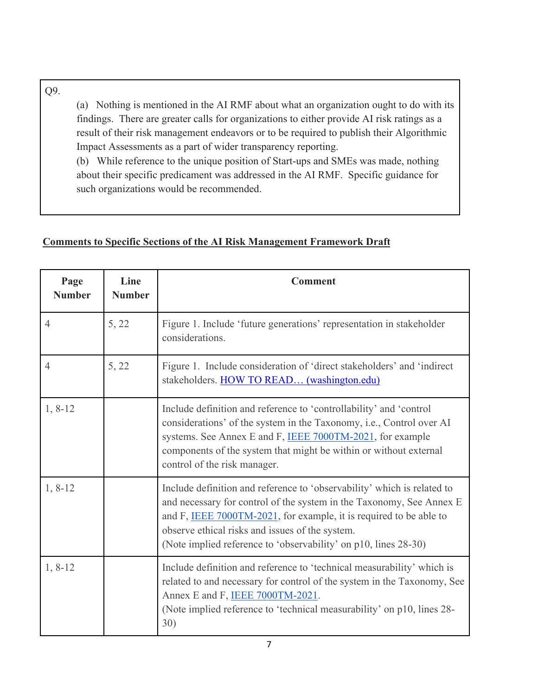Q9.

(a) Nothing is mentioned in the AI RMF about what an organization ought to do with its findings. There are greater calls for organizations to either provide AI risk ratings as a result of their risk management endeavors or to be required to publish their Algorithmic Impact Assessments as a part of wider transparency reporting.

(b) While reference to the unique position of Start-ups and SMEs was made, nothing about their specific predicament was addressed in the AI RMF. Specific guidance for such organizations would be recommended.

# **Comments to Specific Sections of the AI Risk Management Framework Draft**

| Page<br><b>Number</b> | Line<br><b>Number</b> | <b>Comment</b>                                                                                                                                                                                                                                                                                                                              |
|-----------------------|-----------------------|---------------------------------------------------------------------------------------------------------------------------------------------------------------------------------------------------------------------------------------------------------------------------------------------------------------------------------------------|
| $\overline{4}$        | 5, 22                 | Figure 1. Include 'future generations' representation in stakeholder<br>considerations.                                                                                                                                                                                                                                                     |
| $\overline{4}$        | 5, 22                 | Figure 1. Include consideration of 'direct stakeholders' and 'indirect<br>stakeholders. HOW TO READ (washington.edu)                                                                                                                                                                                                                        |
| $1, 8-12$             |                       | Include definition and reference to 'controllability' and 'control<br>considerations' of the system in the Taxonomy, i.e., Control over AI<br>systems. See Annex E and F, IEEE 7000TM-2021, for example<br>components of the system that might be within or without external<br>control of the risk manager.                                |
| $1, 8-12$             |                       | Include definition and reference to 'observability' which is related to<br>and necessary for control of the system in the Taxonomy, See Annex E<br>and F, IEEE 7000TM-2021, for example, it is required to be able to<br>observe ethical risks and issues of the system.<br>(Note implied reference to 'observability' on p10, lines 28-30) |
| $1, 8-12$             |                       | Include definition and reference to 'technical measurability' which is<br>related to and necessary for control of the system in the Taxonomy, See<br>Annex E and F, <b>IEEE 7000TM-2021</b> .<br>(Note implied reference to 'technical measurability' on p10, lines 28-<br>30)                                                              |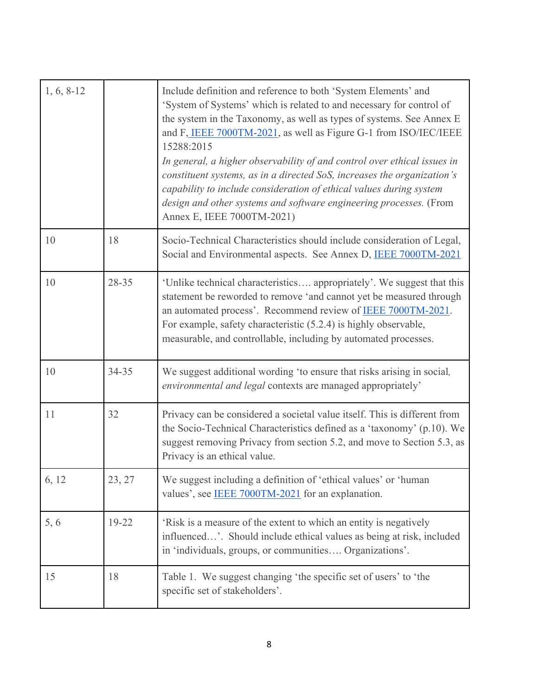| $1, 6, 8-12$ |           | Include definition and reference to both 'System Elements' and<br>'System of Systems' which is related to and necessary for control of<br>the system in the Taxonomy, as well as types of systems. See Annex E<br>and F, IEEE 7000TM-2021, as well as Figure G-1 from ISO/IEC/IEEE<br>15288:2015<br>In general, a higher observability of and control over ethical issues in<br>constituent systems, as in a directed SoS, increases the organization's<br>capability to include consideration of ethical values during system<br>design and other systems and software engineering processes. (From<br>Annex E, IEEE 7000TM-2021) |
|--------------|-----------|------------------------------------------------------------------------------------------------------------------------------------------------------------------------------------------------------------------------------------------------------------------------------------------------------------------------------------------------------------------------------------------------------------------------------------------------------------------------------------------------------------------------------------------------------------------------------------------------------------------------------------|
| 10           | 18        | Socio-Technical Characteristics should include consideration of Legal,<br>Social and Environmental aspects. See Annex D, IEEE 7000TM-2021                                                                                                                                                                                                                                                                                                                                                                                                                                                                                          |
| 10           | 28-35     | 'Unlike technical characteristics appropriately'. We suggest that this<br>statement be reworded to remove 'and cannot yet be measured through<br>an automated process'. Recommend review of IEEE 7000TM-2021.<br>For example, safety characteristic (5.2.4) is highly observable,<br>measurable, and controllable, including by automated processes.                                                                                                                                                                                                                                                                               |
| 10           | $34 - 35$ | We suggest additional wording 'to ensure that risks arising in social,<br>environmental and legal contexts are managed appropriately'                                                                                                                                                                                                                                                                                                                                                                                                                                                                                              |
| 11           | 32        | Privacy can be considered a societal value itself. This is different from<br>the Socio-Technical Characteristics defined as a 'taxonomy' (p.10). We<br>suggest removing Privacy from section 5.2, and move to Section 5.3, as<br>Privacy is an ethical value.                                                                                                                                                                                                                                                                                                                                                                      |
| 6, 12        | 23, 27    | We suggest including a definition of 'ethical values' or 'human<br>values', see <b>IEEE 7000TM-2021</b> for an explanation.                                                                                                                                                                                                                                                                                                                                                                                                                                                                                                        |
| 5, 6         | 19-22     | 'Risk is a measure of the extent to which an entity is negatively<br>influenced'. Should include ethical values as being at risk, included<br>in 'individuals, groups, or communities Organizations'.                                                                                                                                                                                                                                                                                                                                                                                                                              |
| 15           | 18        | Table 1. We suggest changing 'the specific set of users' to 'the<br>specific set of stakeholders'.                                                                                                                                                                                                                                                                                                                                                                                                                                                                                                                                 |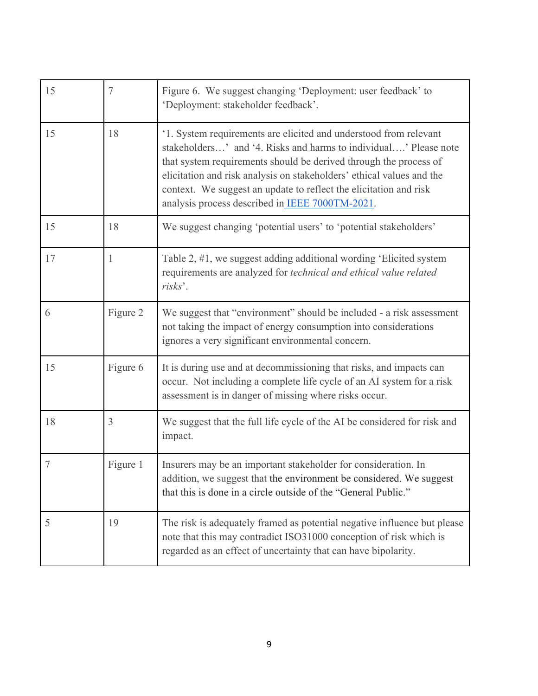| 15             | 7        | Figure 6. We suggest changing 'Deployment: user feedback' to<br>'Deployment: stakeholder feedback'.                                                                                                                                                                                                                                                                                                                 |
|----------------|----------|---------------------------------------------------------------------------------------------------------------------------------------------------------------------------------------------------------------------------------------------------------------------------------------------------------------------------------------------------------------------------------------------------------------------|
| 15             | 18       | '1. System requirements are elicited and understood from relevant<br>stakeholders' and '4. Risks and harms to individual' Please note<br>that system requirements should be derived through the process of<br>elicitation and risk analysis on stakeholders' ethical values and the<br>context. We suggest an update to reflect the elicitation and risk<br>analysis process described in <b>IEEE 7000TM-2021</b> . |
| 15             | 18       | We suggest changing 'potential users' to 'potential stakeholders'                                                                                                                                                                                                                                                                                                                                                   |
| 17             | 1        | Table 2, #1, we suggest adding additional wording 'Elicited system<br>requirements are analyzed for technical and ethical value related<br>risks'.                                                                                                                                                                                                                                                                  |
| 6              | Figure 2 | We suggest that "environment" should be included - a risk assessment<br>not taking the impact of energy consumption into considerations<br>ignores a very significant environmental concern.                                                                                                                                                                                                                        |
| 15             | Figure 6 | It is during use and at decommissioning that risks, and impacts can<br>occur. Not including a complete life cycle of an AI system for a risk<br>assessment is in danger of missing where risks occur.                                                                                                                                                                                                               |
| 18             | 3        | We suggest that the full life cycle of the AI be considered for risk and<br>impact.                                                                                                                                                                                                                                                                                                                                 |
| $\overline{7}$ | Figure 1 | Insurers may be an important stakeholder for consideration. In<br>addition, we suggest that the environment be considered. We suggest<br>that this is done in a circle outside of the "General Public."                                                                                                                                                                                                             |
| 5              | 19       | The risk is adequately framed as potential negative influence but please<br>note that this may contradict ISO31000 conception of risk which is<br>regarded as an effect of uncertainty that can have bipolarity.                                                                                                                                                                                                    |